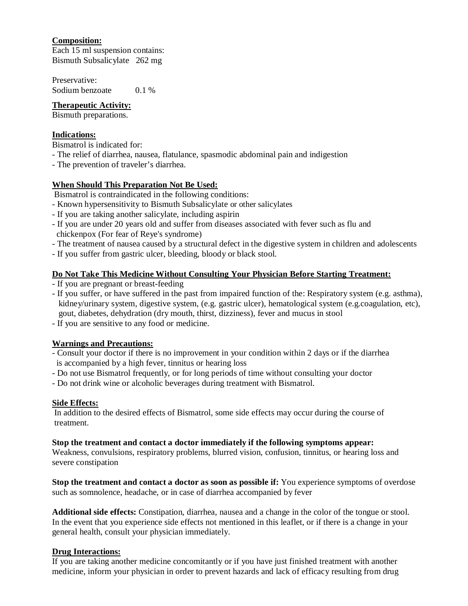# **Composition:**

Each 15 ml suspension contains: Bismuth Subsalicylate 262 mg

Preservative: Sodium benzoate 0.1 %

## **Therapeutic Activity:**

Bismuth preparations.

# **Indications:**

Bismatrol is indicated for:

- The relief of diarrhea, nausea, flatulance, spasmodic abdominal pain and indigestion
- The prevention of traveler's diarrhea.

## **When Should This Preparation Not Be Used:**

Bismatrol is contraindicated in the following conditions:

- Known hypersensitivity to Bismuth Subsalicylate or other salicylates
- If you are taking another salicylate, including aspirin
- If you are under 20 years old and suffer from diseases associated with fever such as flu and chickenpox (For fear of Reye's syndrome)
- The treatment of nausea caused by a structural defect in the digestive system in children and adolescents
- If you suffer from gastric ulcer, bleeding, bloody or black stool.

## **Do Not Take This Medicine Without Consulting Your Physician Before Starting Treatment:**

- If you are pregnant or breast-feeding

- If you suffer, or have suffered in the past from impaired function of the: Respiratory system (e.g. asthma), kidney/urinary system, digestive system, (e.g. gastric ulcer), hematological system (e.g.coagulation, etc), gout, diabetes, dehydration (dry mouth, thirst, dizziness), fever and mucus in stool
- If you are sensitive to any food or medicine.

# **Warnings and Precautions:**

- Consult your doctor if there is no improvement in your condition within 2 days or if the diarrhea is accompanied by a high fever, tinnitus or hearing loss
- Do not use Bismatrol frequently, or for long periods of time without consulting your doctor
- Do not drink wine or alcoholic beverages during treatment with Bismatrol.

### **Side Effects:**

In addition to the desired effects of Bismatrol, some side effects may occur during the course of treatment.

### **Stop the treatment and contact a doctor immediately if the following symptoms appear:**

Weakness, convulsions, respiratory problems, blurred vision, confusion, tinnitus, or hearing loss and severe constipation

**Stop the treatment and contact a doctor as soon as possible if:** You experience symptoms of overdose such as somnolence, headache, or in case of diarrhea accompanied by fever

**Additional side effects:** Constipation, diarrhea, nausea and a change in the color of the tongue or stool. In the event that you experience side effects not mentioned in this leaflet, or if there is a change in your general health, consult your physician immediately.

### **Drug Interactions:**

If you are taking another medicine concomitantly or if you have just finished treatment with another medicine, inform your physician in order to prevent hazards and lack of efficacy resulting from drug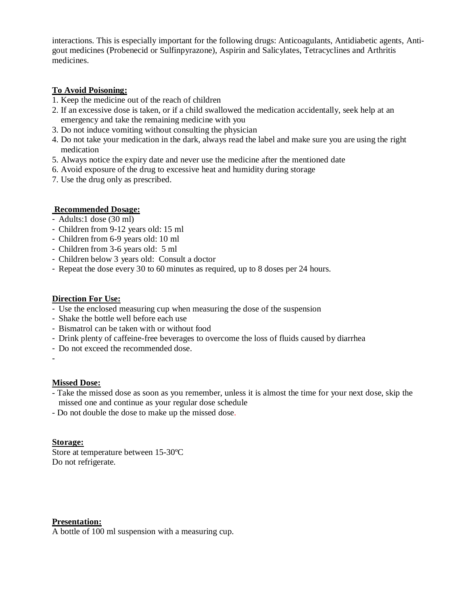interactions. This is especially important for the following drugs: Anticoagulants, Antidiabetic agents, Antigout medicines (Probenecid or Sulfinpyrazone), Aspirin and Salicylates, Tetracyclines and Arthritis medicines.

## **To Avoid Poisoning:**

- 1. Keep the medicine out of the reach of children
- 2. If an excessive dose is taken, or if a child swallowed the medication accidentally, seek help at an emergency and take the remaining medicine with you
- 3. Do not induce vomiting without consulting the physician
- 4. Do not take your medication in the dark, always read the label and make sure you are using the right medication
- 5. Always notice the expiry date and never use the medicine after the mentioned date
- 6. Avoid exposure of the drug to excessive heat and humidity during storage
- 7. Use the drug only as prescribed.

## **Recommended Dosage:**

- Adults:1 dose (30 ml)
- Children from 9-12 years old: 15 ml
- Children from 6-9 years old: 10 ml
- Children from 3-6 years old: 5 ml
- Children below 3 years old: Consult a doctor
- Repeat the dose every 30 to 60 minutes as required, up to 8 doses per 24 hours.

## **Direction For Use:**

- Use the enclosed measuring cup when measuring the dose of the suspension
- Shake the bottle well before each use
- Bismatrol can be taken with or without food
- Drink plenty of caffeine-free beverages to overcome the loss of fluids caused by diarrhea
- Do not exceed the recommended dose.
- -

### **Missed Dose:**

- Take the missed dose as soon as you remember, unless it is almost the time for your next dose, skip the missed one and continue as your regular dose schedule
- Do not double the dose to make up the missed dose.

### **Storage:**

Store at temperature between 15-30ºC Do not refrigerate.

### **Presentation:**

A bottle of 100 ml suspension with a measuring cup.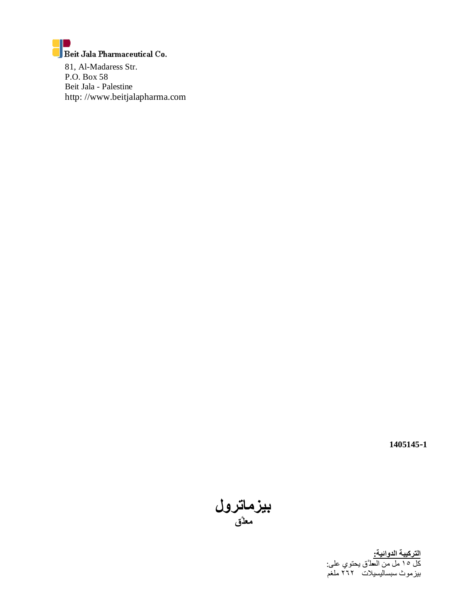

81, Al-Madaress Str. P.O. Box 58 Beit Jala - Palestine http: //www.beitjalapharma.com

 **1405145-1**

**بیزماترول معلَّق** 

**التركیبة الدوائیة:**  كل ١٥ مل من المعل َّق یحتوي على: بیزموث سبسالیسیلات ٢٦٢ ملغم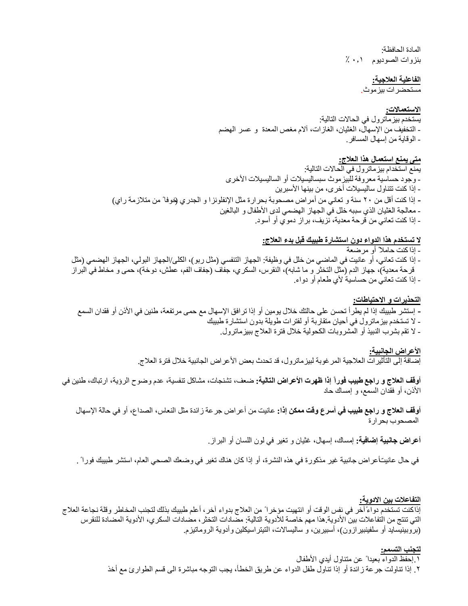المادة الحافظة: بنزوات الصودیوم ٠٫١ ٪

#### **الفاعلیة العلاجیة:**

مستحضرات بیزموث.

#### **الاستعمالات:**

یستخدم بیزماترول في الحالات التالیة: - التخفیف من الإسھال، الغثیان، الغازات، آلام مغص المعدة و عسر الھضم - الوقایة من إسھال المسافر.

### **متى یمنع استعمال ھذا العلاج:**

یمنع استخدام بیزماترول في الحالات التالیة: - وجود حساسیة معروفة للبیزموث سبسالیسیلات أو السالیسیلات الأخرى - إذا كنت تتناول سالیسیلات أخرى، من بینھا الأسبرین **-** إذا كنت أقل من ٢٠ سنة و تعاني من أمراض مصحوبة بحرارة مثل الإنفلونزا و الجدري (خوفا ً من متلازمة راي) - معالجة الغثیان الذي سببھ خلل في الجھاز الھضمي لدى الأطفال و البالغین - إذا كنت تعاني من قرحة معدیة، نزیف، براز دموي أو أسود.

### **لا تستخدم ھذا الدواء دون استشارة طبیبك قبل بدء العلاج:**

- إذا كنت حاملا ً أو مرضعة - إذا كنت تعاني، أو عانیت في الماضي من خلل في وظیفة: الجھاز التنفسي (مثل ربو)، الكلى/الجھاز البولي، الجھاز الھضمي (مثل قرحة معدیة)، جھاز الدم (مثل التخثر و ما شابھ)، النقرس، السكري، جفاف (جفاف الفم، عطش، دوخة)، حمى و مخاط في البراز - إذا كنت تعاني من حساسیة لأي طعام أو دواء.

#### **التحذیرات و الاحتیاطات:**

- **-** إستشر طبیبك إذا لم یطرأ تحسن على حالتك خلال یومین أو إذا ترافق الإسھال مع حمى مرتفعة، طنین في الأذن أو فقدان السمع - لا تستخدم بیزماترول في أحیان متقاربة أو لفترات طویلة بدون استشارة طبیبك
	- لا تقم بشرب النبیذ أو المشروبات الكحولیة خلال فترة العلاج ببیزماترول.

## **الأعراض الجانبیة:**

إضافة إلى التأثیرات العلاجیة المرغوبة لبیزماترول، قد تحدث بعض الأعراض الجانبیة خلال فترة العلاج.

**أوقف العلاج و راجع طبیب فوراً إذا ظھرت الأعراض التالیة:** ضعف، تشنجات، مشاكل تنفسیة، عدم وضوح الرؤیة، ارتباك، طنین في الأذن، أو فقدان السمع، و إمساك حاد

**أوقف العلاج و راجع طبیب في أسرع وقت ممكن إذا:** عانیت من أعراض جرعة زائدة مثل النعاس، الصداع، أو في حالة الإسھال المصحوب بحرارة

**أعراض جانبیة إضافیة:** إمساك، إسھال، غثیان و تغیر في لون اللسان أو البراز.

في حال عانیت أعراض جانبیة غیر مذكورة في ھذه النشرة، أو إذا كان ھناك تغیر في وضعك الصحي العام، استشر طبیبك فورا ً .

#### **التفاعلات بین الادویة:**

إذاكنت تستخدم دواءً آخر في نفس الوقت أو انتھیت مؤخرا ً من العلاج بدواء آخر، أعلم طبیبك بذلك لتجنب المخاطر وقلة نجاعة العلاج التي تنتج من التفاعلات بین الأدویة.ھذا مھم خاصة للأدویة التالیة: مضادات التخثر، مضادات السكري، الأدویة المضادة للنقرس (بروبینیساید أو سلفینبیرازون)، أسبیرین، و سالیسالات، التیتراسیكلین وأدویة الروماتیزم.

#### **لتجنب التسمم:**

.١ إحفظ الدواء بعیدا ً عن متناول أیدي الأطفال .٢ إذا تناولت جرعة زائدة أو إذا تناول طفل الدواء عن طریق الخطأ، یجب التوجھ مباشرة الى قسم الطوارئ مع أخذ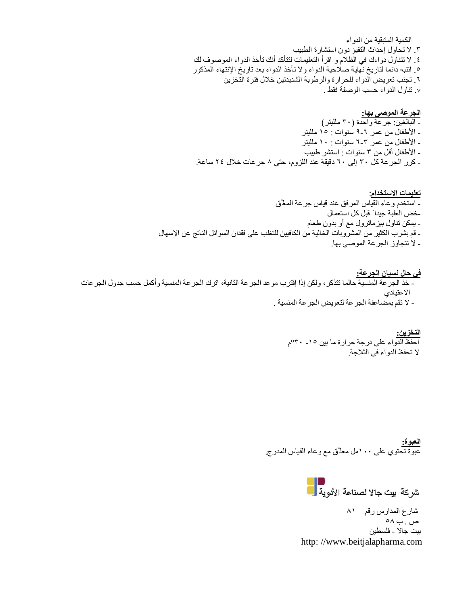الكمیة المتبقیة من الدواء .٣ لا تحاول إحداث التقیؤ دون استشارة الطبیب .٤ لا تتناول دواءك في الظلام و اقرأ التعلیمات لتتأكد أنك تأخذ الدواء الموصوف لك .٥ انتبھ دائما لتاریخ نھایة صلاحیة الدواء ولا تأخذ الدواء بعد تاریخ الإنتھاء المذكور .٦ تجنب تعریض الدواء للحرارة والرطوبة الشدیدتین خلال فترة التخزین .۷ تناول الدواء حسب الوصفة فقط .

**الجرعة الموصى بھا:**  - البالغین: جرعة واحدة (٣٠ مللیتر) - الأطفال من عمر ٩-٦ سنوات : ١٥ مللیتر - الأطفال من عمر ٦-٣ سنوات : ١٠ مللیتر - الأطفال أقل من ٣ سنوات : استشر طبیب - كرر الجرعة كل ٣٠ إلى ٦٠ دقیقة عند اللزوم، حتى ٨ جرعات خلال ٢٤ ساعة.

**تعلیمات الاستخدام**: - استخدم وعاء القیاس المرفق عند قیاس جرعة المعل َّق -خض العلبة جیدا ً قبل كل استعمال - یمكن تناول بیزماترول مع أو بدون طعام - قم بشرب الكثیر من المشروبات الخالیة من الكافیین للتغلب على فقدان السوائل الناتج عن الإسھال - لا تتجاوز الجرعة الموصى بھا.

**في حال نسیان الجرعة:**  - خذ الجرعة المنسیة حالما تتذكر، ولكن ٳذا إقترب موعد الجرعة الثانیة، اترك الجرعة المنسیة وأكمل حسب جدول الجرعات الاعتیادي - لا تقم بمضاعفة الجرعة لتعویض الجرعة المنسیة .

> **التخزین:**  احفظ الدواء على درجة حرارة ما بین -١٥ °٣٠م لا تحفظ الدواء في الثلاجة.

**العبوة:**  عبوة تحتوي على ١٠٠مل معل َّق مع وعاء القیاس المدرج.

شركة بيت جالا لصناعة الأدوية <mark>.</mark><br>.

 شارع المدارس رقم ٨١ ص . ب ٥٨ بیت جالا - فلسطین http: //www.beitjalapharma.com